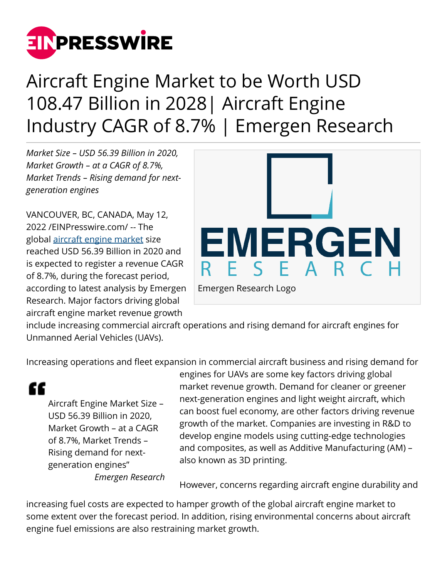

## Aircraft Engine Market to be Worth USD 108.47 Billion in 2028| Aircraft Engine Industry CAGR of 8.7% | Emergen Research

*Market Size – USD 56.39 Billion in 2020, Market Growth – at a CAGR of 8.7%, Market Trends – Rising demand for nextgeneration engines*

VANCOUVER, BC, CANADA, May 12, 2022 /[EINPresswire.com](http://www.einpresswire.com)/ -- The global [aircraft engine market](https://www.emergenresearch.com/industry-report/aircraft-engine-market) size reached USD 56.39 Billion in 2020 and is expected to register a revenue CAGR of 8.7%, during the forecast period, according to latest analysis by Emergen Research. Major factors driving global aircraft engine market revenue growth



include increasing commercial aircraft operations and rising demand for aircraft engines for Unmanned Aerial Vehicles (UAVs).

Increasing operations and fleet expansion in commercial aircraft business and rising demand for

"

Aircraft Engine Market Size – USD 56.39 Billion in 2020, Market Growth – at a CAGR of 8.7%, Market Trends – Rising demand for nextgeneration engines"

*Emergen Research*

engines for UAVs are some key factors driving global market revenue growth. Demand for cleaner or greener next-generation engines and light weight aircraft, which can boost fuel economy, are other factors driving revenue growth of the market. Companies are investing in R&D to develop engine models using cutting-edge technologies and composites, as well as Additive Manufacturing (AM) – also known as 3D printing.

However, concerns regarding aircraft engine durability and

increasing fuel costs are expected to hamper growth of the global aircraft engine market to some extent over the forecast period. In addition, rising environmental concerns about aircraft engine fuel emissions are also restraining market growth.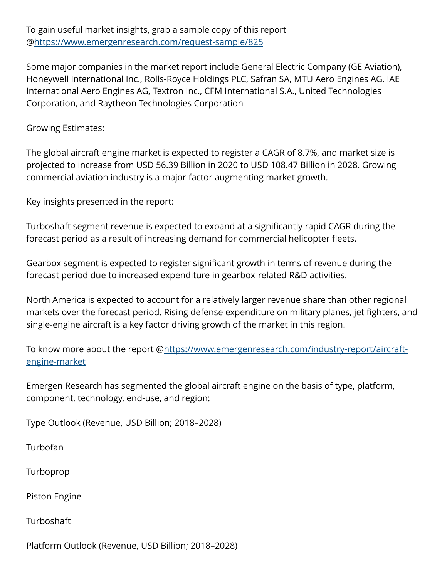To gain useful market insights, grab a sample copy of this report @<https://www.emergenresearch.com/request-sample/825>

Some major companies in the market report include General Electric Company (GE Aviation), Honeywell International Inc., Rolls-Royce Holdings PLC, Safran SA, MTU Aero Engines AG, IAE International Aero Engines AG, Textron Inc., CFM International S.A., United Technologies Corporation, and Raytheon Technologies Corporation

Growing Estimates:

The global aircraft engine market is expected to register a CAGR of 8.7%, and market size is projected to increase from USD 56.39 Billion in 2020 to USD 108.47 Billion in 2028. Growing commercial aviation industry is a major factor augmenting market growth.

Key insights presented in the report:

Turboshaft segment revenue is expected to expand at a significantly rapid CAGR during the forecast period as a result of increasing demand for commercial helicopter fleets.

Gearbox segment is expected to register significant growth in terms of revenue during the forecast period due to increased expenditure in gearbox-related R&D activities.

North America is expected to account for a relatively larger revenue share than other regional markets over the forecast period. Rising defense expenditure on military planes, jet fighters, and single-engine aircraft is a key factor driving growth of the market in this region.

To know more about the report @[https://www.emergenresearch.com/industry-report/aircraft](https://www.emergenresearch.com/industry-report/aircraft-engine-market)[engine-market](https://www.emergenresearch.com/industry-report/aircraft-engine-market)

Emergen Research has segmented the global aircraft engine on the basis of type, platform, component, technology, end-use, and region:

Type Outlook (Revenue, USD Billion; 2018–2028)

Turbofan

Turboprop

Piston Engine

**Turboshaft** 

Platform Outlook (Revenue, USD Billion; 2018–2028)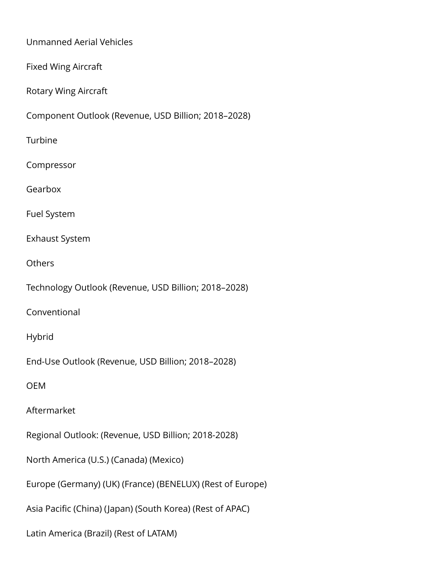Unmanned Aerial Vehicles Fixed Wing Aircraft Rotary Wing Aircraft Component Outlook (Revenue, USD Billion; 2018–2028) Turbine Compressor Gearbox Fuel System Exhaust System **Others** Technology Outlook (Revenue, USD Billion; 2018–2028) Conventional Hybrid End-Use Outlook (Revenue, USD Billion; 2018–2028) OEM Aftermarket Regional Outlook: (Revenue, USD Billion; 2018-2028) North America (U.S.) (Canada) (Mexico) Europe (Germany) (UK) (France) (BENELUX) (Rest of Europe) Asia Pacific (China) (Japan) (South Korea) (Rest of APAC) Latin America (Brazil) (Rest of LATAM)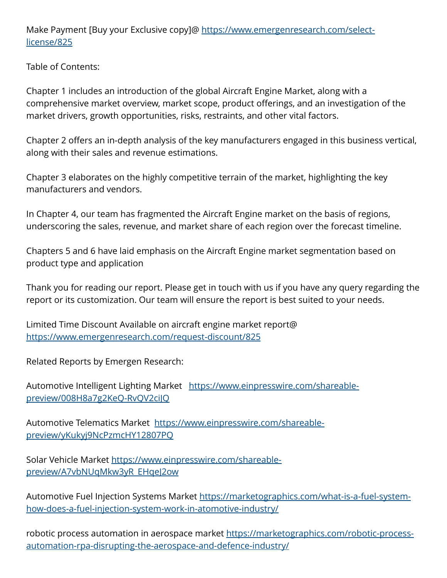Make Payment [Buy your Exclusive copy]@ [https://www.emergenresearch.com/select](https://www.emergenresearch.com/select-license/825)[license/825](https://www.emergenresearch.com/select-license/825)

Table of Contents:

Chapter 1 includes an introduction of the global Aircraft Engine Market, along with a comprehensive market overview, market scope, product offerings, and an investigation of the market drivers, growth opportunities, risks, restraints, and other vital factors.

Chapter 2 offers an in-depth analysis of the key manufacturers engaged in this business vertical, along with their sales and revenue estimations.

Chapter 3 elaborates on the highly competitive terrain of the market, highlighting the key manufacturers and vendors.

In Chapter 4, our team has fragmented the Aircraft Engine market on the basis of regions, underscoring the sales, revenue, and market share of each region over the forecast timeline.

Chapters 5 and 6 have laid emphasis on the Aircraft Engine market segmentation based on product type and application

Thank you for reading our report. Please get in touch with us if you have any query regarding the report or its customization. Our team will ensure the report is best suited to your needs.

Limited Time Discount Available on aircraft engine market report@ <https://www.emergenresearch.com/request-discount/825>

Related Reports by Emergen Research:

Automotive Intelligent Lighting Market [https://www.einpresswire.com/shareable](https://www.einpresswire.com/shareable-preview/008H8a7g2KeQ-RvQV2ciJQ)[preview/008H8a7g2KeQ-RvQV2ciJQ](https://www.einpresswire.com/shareable-preview/008H8a7g2KeQ-RvQV2ciJQ)

Automotive Telematics Market  [https://www.einpresswire.com/shareable](https://www.einpresswire.com/shareable-preview/yKukyj9NcPzmcHY12807PQ)[preview/yKukyj9NcPzmcHY12807PQ](https://www.einpresswire.com/shareable-preview/yKukyj9NcPzmcHY12807PQ)

Solar Vehicle Market [https://www.einpresswire.com/shareable](https://www.einpresswire.com/shareable-preview/A7vbNUqMkw3yR_EHqeJ2ow)[preview/A7vbNUqMkw3yR\\_EHqeJ2ow](https://www.einpresswire.com/shareable-preview/A7vbNUqMkw3yR_EHqeJ2ow)

Automotive Fuel Injection Systems Market [https://marketographics.com/what-is-a-fuel-system](https://marketographics.com/what-is-a-fuel-system-how-does-a-fuel-injection-system-work-in-atomotive-industry/)[how-does-a-fuel-injection-system-work-in-atomotive-industry/](https://marketographics.com/what-is-a-fuel-system-how-does-a-fuel-injection-system-work-in-atomotive-industry/)

robotic process automation in aerospace market [https://marketographics.com/robotic-process](https://marketographics.com/robotic-process-automation-rpa-disrupting-the-aerospace-and-defence-industry/)[automation-rpa-disrupting-the-aerospace-and-defence-industry/](https://marketographics.com/robotic-process-automation-rpa-disrupting-the-aerospace-and-defence-industry/)